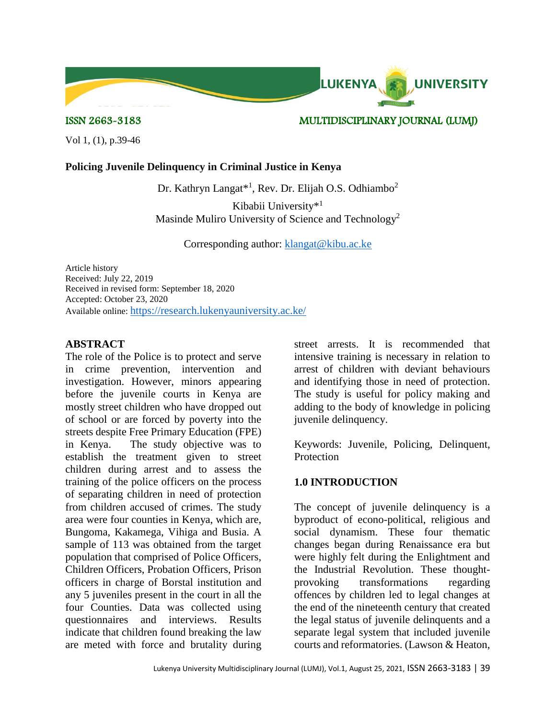

ISSN 2663-3183 MULTIDISCIPLINARY JOURNAL (LUMJ)

Vol 1, (1), p.39-46

### **Policing Juvenile Delinquency in Criminal Justice in Kenya**

Dr. Kathryn Langat\*<sup>1</sup>, Rev. Dr. Elijah O.S. Odhiambo<sup>2</sup>

Kibabii University\* 1 Masinde Muliro University of Science and Technology<sup>2</sup>

Corresponding author: [klangat@kibu.ac.ke](mailto:klangat@kibu.ac.ke)

Article history Received: July 22, 2019 Received in revised form: September 18, 2020 Accepted: October 23, 2020 Available online: <https://research.lukenyauniversity.ac.ke/>

## **ABSTRACT**

The role of the Police is to protect and serve in crime prevention, intervention and investigation. However, minors appearing before the juvenile courts in Kenya are mostly street children who have dropped out of school or are forced by poverty into the streets despite Free Primary Education (FPE) in Kenya. The study objective was to establish the treatment given to street children during arrest and to assess the training of the police officers on the process of separating children in need of protection from children accused of crimes. The study area were four counties in Kenya, which are, Bungoma, Kakamega, Vihiga and Busia. A sample of 113 was obtained from the target population that comprised of Police Officers, Children Officers, Probation Officers, Prison officers in charge of Borstal institution and any 5 juveniles present in the court in all the four Counties. Data was collected using questionnaires and interviews. Results indicate that children found breaking the law are meted with force and brutality during

street arrests. It is recommended that intensive training is necessary in relation to arrest of children with deviant behaviours and identifying those in need of protection. The study is useful for policy making and adding to the body of knowledge in policing juvenile delinquency.

Keywords: Juvenile, Policing, Delinquent, **Protection** 

# **1.0 INTRODUCTION**

The concept of juvenile delinquency is a byproduct of econo-political, religious and social dynamism. These four thematic changes began during Renaissance era but were highly felt during the Enlightment and the Industrial Revolution. These thoughtprovoking transformations regarding offences by children led to legal changes at the end of the nineteenth century that created the legal status of juvenile delinquents and a separate legal system that included juvenile courts and reformatories. (Lawson & Heaton,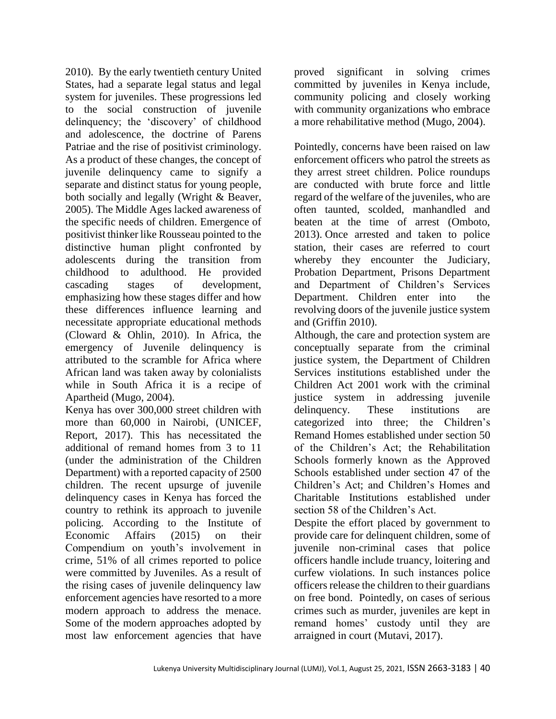2010). By the early twentieth century United States, had a separate legal status and legal system for juveniles. These progressions led to the social construction of juvenile delinquency; the 'discovery' of childhood and adolescence, the doctrine of Parens Patriae and the rise of positivist criminology. As a product of these changes, the concept of juvenile delinquency came to signify a separate and distinct status for young people, both socially and legally (Wright & Beaver, 2005). The Middle Ages lacked awareness of the specific needs of children. Emergence of positivist thinker like Rousseau pointed to the distinctive human plight confronted by adolescents during the transition from childhood to adulthood. He provided cascading stages of development, emphasizing how these stages differ and how these differences influence learning and necessitate appropriate educational methods (Cloward & Ohlin, 2010). In Africa, the emergency of Juvenile delinquency is attributed to the scramble for Africa where African land was taken away by colonialists while in South Africa it is a recipe of Apartheid (Mugo, 2004).

Kenya has over 300,000 street children with more than 60,000 in Nairobi, (UNICEF, Report, 2017). This has necessitated the additional of remand homes from 3 to 11 (under the administration of the Children Department) with a reported capacity of 2500 children. The recent upsurge of juvenile delinquency cases in Kenya has forced the country to rethink its approach to juvenile policing. According to the Institute of Economic Affairs (2015) on their Compendium on youth's involvement in crime, 51% of all crimes reported to police were committed by Juveniles. As a result of the rising cases of juvenile delinquency law enforcement agencies have resorted to a more modern approach to address the menace. Some of the modern approaches adopted by most law enforcement agencies that have

proved significant in solving crimes committed by juveniles in Kenya include, community policing and closely working with community organizations who embrace a more rehabilitative method (Mugo, 2004).

Pointedly, concerns have been raised on law enforcement officers who patrol the streets as they arrest street children. Police roundups are conducted with brute force and little regard of the welfare of the juveniles, who are often taunted, scolded, manhandled and beaten at the time of arrest (Omboto, 2013). Once arrested and taken to police station, their cases are referred to court whereby they encounter the Judiciary, Probation Department, Prisons Department and Department of Children's Services Department. Children enter into the revolving doors of the juvenile justice system and (Griffin 2010).

Although, the care and protection system are conceptually separate from the criminal justice system, the Department of Children Services institutions established under the Children Act 2001 work with the criminal justice system in addressing juvenile delinquency. These institutions are categorized into three; the Children's Remand Homes established under section 50 of the Children's Act; the Rehabilitation Schools formerly known as the Approved Schools established under section 47 of the Children's Act; and Children's Homes and Charitable Institutions established under section 58 of the Children's Act.

Despite the effort placed by government to provide care for delinquent children, some of juvenile non-criminal cases that police officers handle include truancy, loitering and curfew violations. In such instances police officers release the children to their guardians on free bond. Pointedly, on cases of serious crimes such as murder, juveniles are kept in remand homes' custody until they are arraigned in court (Mutavi, 2017).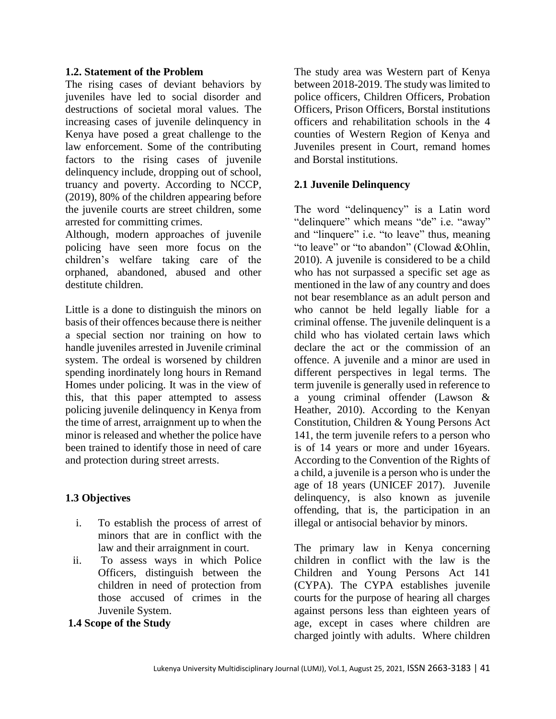#### **1.2. Statement of the Problem**

The rising cases of deviant behaviors by juveniles have led to social disorder and destructions of societal moral values. The increasing cases of juvenile delinquency in Kenya have posed a great challenge to the law enforcement. Some of the contributing factors to the rising cases of juvenile delinquency include, dropping out of school, truancy and poverty. According to NCCP, (2019), 80% of the children appearing before the juvenile courts are street children, some arrested for committing crimes.

Although, modern approaches of juvenile policing have seen more focus on the children's welfare taking care of the orphaned, abandoned, abused and other destitute children.

Little is a done to distinguish the minors on basis of their offences because there is neither a special section nor training on how to handle juveniles arrested in Juvenile criminal system. The ordeal is worsened by children spending inordinately long hours in Remand Homes under policing. It was in the view of this, that this paper attempted to assess policing juvenile delinquency in Kenya from the time of arrest, arraignment up to when the minor is released and whether the police have been trained to identify those in need of care and protection during street arrests.

### **1.3 Objectives**

- i. To establish the process of arrest of minors that are in conflict with the law and their arraignment in court.
- ii. To assess ways in which Police Officers, distinguish between the children in need of protection from those accused of crimes in the Juvenile System.
- **1.4 Scope of the Study**

The study area was Western part of Kenya between 2018-2019. The study was limited to police officers, Children Officers, Probation Officers, Prison Officers, Borstal institutions officers and rehabilitation schools in the 4 counties of Western Region of Kenya and Juveniles present in Court, remand homes and Borstal institutions.

#### **2.1 Juvenile Delinquency**

The word "delinquency" is a Latin word "delinquere" which means "de" i.e. "away" and "linquere" i.e. "to leave" thus, meaning "to leave" or "to abandon" (Clowad &Ohlin, 2010). A juvenile is considered to be a child who has not surpassed a specific set age as mentioned in the law of any country and does not bear resemblance as an adult person and who cannot be held legally liable for a criminal offense. The juvenile delinquent is a child who has violated certain laws which declare the act or the commission of an offence. A juvenile and a minor are used in different perspectives in legal terms. The term juvenile is generally used in reference to a young criminal offender (Lawson & Heather, 2010). According to the Kenyan Constitution, Children & Young Persons Act 141, the term juvenile refers to a person who is of 14 years or more and under 16years. According to the Convention of the Rights of a child, a juvenile is a person who is under the age of 18 years (UNICEF 2017). Juvenile delinquency, is also known as juvenile offending, that is, the participation in an illegal or antisocial behavior by minors.

The primary law in Kenya concerning children in conflict with the law is the Children and Young Persons Act 141 (CYPA). The CYPA establishes juvenile courts for the purpose of hearing all charges against persons less than eighteen years of age, except in cases where children are charged jointly with adults. Where children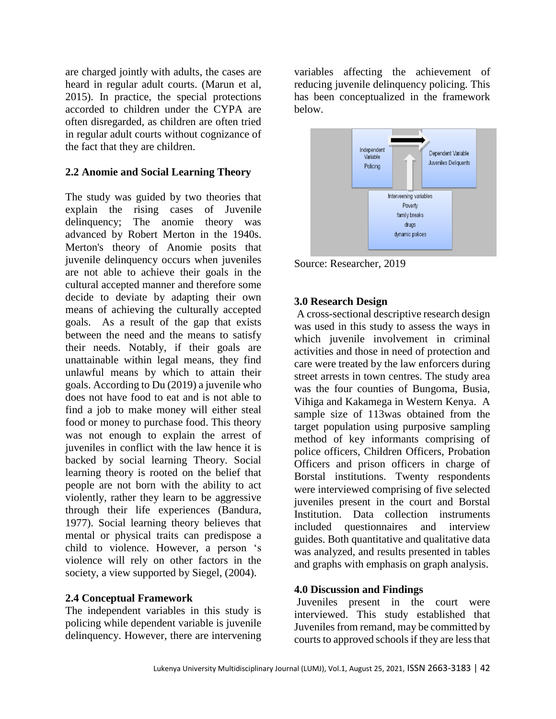are charged jointly with adults, the cases are heard in regular adult courts. (Marun et al, 2015). In practice, the special protections accorded to children under the CYPA are often disregarded, as children are often tried in regular adult courts without cognizance of the fact that they are children.

#### **2.2 Anomie and Social Learning Theory**

The study was guided by two theories that explain the rising cases of Juvenile delinquency; The anomie theory was advanced by Robert Merton in the 1940s. Merton's theory of Anomie posits that juvenile delinquency occurs when juveniles are not able to achieve their goals in the cultural accepted manner and therefore some decide to deviate by adapting their own means of achieving the culturally accepted goals. As a result of the gap that exists between the need and the means to satisfy their needs. Notably, if their goals are unattainable within legal means, they find unlawful means by which to attain their goals. According to Du (2019) a juvenile who does not have food to eat and is not able to find a job to make money will either steal food or money to purchase food. This theory was not enough to explain the arrest of juveniles in conflict with the law hence it is backed by social learning Theory. Social learning theory is rooted on the belief that people are not born with the ability to act violently, rather they learn to be aggressive through their life experiences (Bandura, 1977). Social learning theory believes that mental or physical traits can predispose a child to violence. However, a person 's violence will rely on other factors in the society, a view supported by Siegel, (2004).

#### **2.4 Conceptual Framework**

The independent variables in this study is policing while dependent variable is juvenile delinquency. However, there are intervening variables affecting the achievement of reducing juvenile delinquency policing. This has been conceptualized in the framework below.



Source: Researcher, 2019

### **3.0 Research Design**

A cross-sectional descriptive research design was used in this study to assess the ways in which juvenile involvement in criminal activities and those in need of protection and care were treated by the law enforcers during street arrests in town centres. The study area was the four counties of Bungoma, Busia, Vihiga and Kakamega in Western Kenya. A sample size of 113was obtained from the target population using purposive sampling method of key informants comprising of police officers, Children Officers, Probation Officers and prison officers in charge of Borstal institutions. Twenty respondents were interviewed comprising of five selected juveniles present in the court and Borstal Institution. Data collection instruments included questionnaires and interview guides. Both quantitative and qualitative data was analyzed, and results presented in tables and graphs with emphasis on graph analysis.

### **4.0 Discussion and Findings**

Juveniles present in the court were interviewed. This study established that Juveniles from remand, may be committed by courts to approved schools if they are less that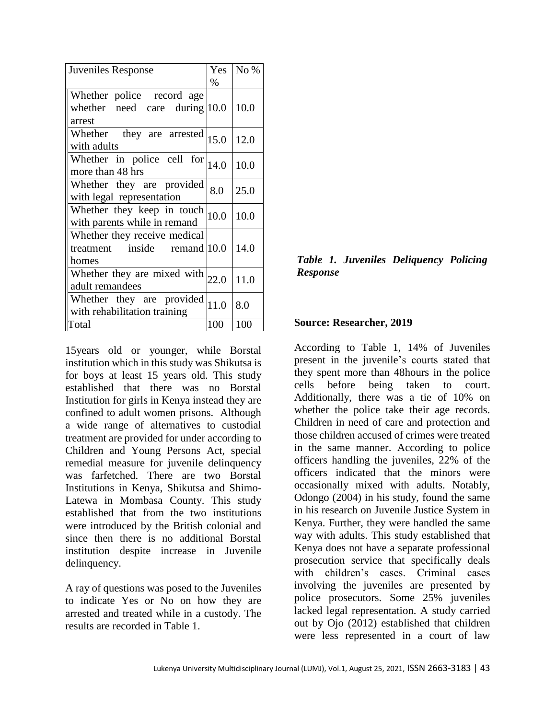| Juveniles Response                                                                             | Yes<br>$\%$ | No % |
|------------------------------------------------------------------------------------------------|-------------|------|
| Whether police record age<br>whether need care during $ 10.0 $<br>arrest                       |             | 10.0 |
| Whether they are arrested $ 15.0\rangle$<br>with adults                                        |             | 12.0 |
| Whether in police cell for $ _{14.0}$<br>more than 48 hrs                                      |             | 10.0 |
| Whether they are provided<br>with legal representation                                         | 8.0         | 25.0 |
| Whether they keep in touch<br>with parents while in remand                                     | 10.0        | 10.0 |
| Whether they receive medical<br>treatment inside remand $ 10.0 $<br>homes                      |             | 14.0 |
| Whether they are mixed with $_{22.0}$<br>adult remandees                                       |             | 11.0 |
| Whether they are provided $\begin{bmatrix} 11.0 \end{bmatrix}$<br>with rehabilitation training |             | 8.0  |
| Total                                                                                          | 100         | 100  |

15years old or younger, while Borstal institution which in this study was Shikutsa is for boys at least 15 years old. This study established that there was no Borstal Institution for girls in Kenya instead they are confined to adult women prisons. Although a wide range of alternatives to custodial treatment are provided for under according to Children and Young Persons Act, special remedial measure for juvenile delinquency was farfetched. There are two Borstal Institutions in Kenya, Shikutsa and Shimo-Latewa in Mombasa County. This study established that from the two institutions were introduced by the British colonial and since then there is no additional Borstal institution despite increase in Juvenile delinquency.

A ray of questions was posed to the Juveniles to indicate Yes or No on how they are arrested and treated while in a custody. The results are recorded in Table 1.

*Table 1. Juveniles Deliquency Policing Response* 

#### **Source: Researcher, 2019**

According to Table 1, 14% of Juveniles present in the juvenile's courts stated that they spent more than 48hours in the police cells before being taken to court. Additionally, there was a tie of 10% on whether the police take their age records. Children in need of care and protection and those children accused of crimes were treated in the same manner. According to police officers handling the juveniles, 22% of the officers indicated that the minors were occasionally mixed with adults. Notably, Odongo (2004) in his study, found the same in his research on Juvenile Justice System in Kenya. Further, they were handled the same way with adults. This study established that Kenya does not have a separate professional prosecution service that specifically deals with children's cases. Criminal cases involving the juveniles are presented by police prosecutors. Some 25% juveniles lacked legal representation. A study carried out by Ojo (2012) established that children were less represented in a court of law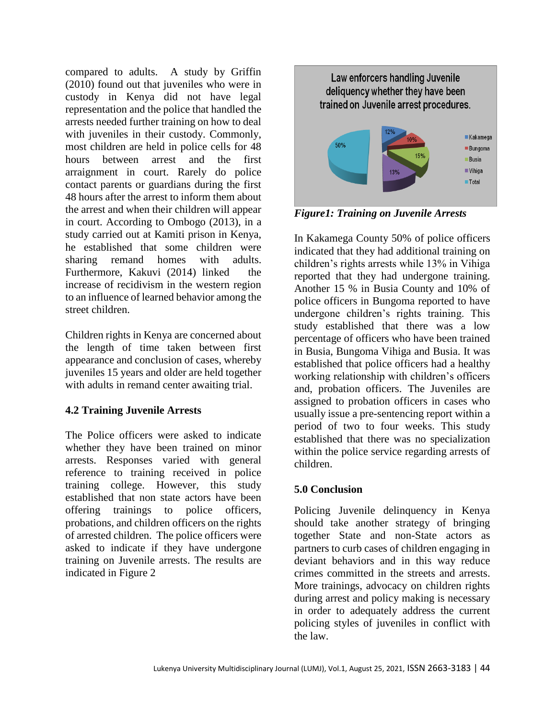compared to adults. A study by Griffin (2010) found out that juveniles who were in custody in Kenya did not have legal representation and the police that handled the arrests needed further training on how to deal with juveniles in their custody. Commonly, most children are held in police cells for 48 hours between arrest and the first arraignment in court. Rarely do police contact parents or guardians during the first 48 hours after the arrest to inform them about the arrest and when their children will appear in court. According to Ombogo (2013), in a study carried out at Kamiti prison in Kenya, he established that some children were sharing remand homes with adults. Furthermore, Kakuvi (2014) linked the increase of recidivism in the western region to an influence of learned behavior among the street children.

Children rights in Kenya are concerned about the length of time taken between first appearance and conclusion of cases, whereby juveniles 15 years and older are held together with adults in remand center awaiting trial.

# **4.2 Training Juvenile Arrests**

The Police officers were asked to indicate whether they have been trained on minor arrests. Responses varied with general reference to training received in police training college. However, this study established that non state actors have been offering trainings to police officers, probations, and children officers on the rights of arrested children. The police officers were asked to indicate if they have undergone training on Juvenile arrests. The results are indicated in Figure 2



*Figure1: Training on Juvenile Arrests*

In Kakamega County 50% of police officers indicated that they had additional training on children's rights arrests while 13% in Vihiga reported that they had undergone training. Another 15 % in Busia County and 10% of police officers in Bungoma reported to have undergone children's rights training. This study established that there was a low percentage of officers who have been trained in Busia, Bungoma Vihiga and Busia. It was established that police officers had a healthy working relationship with children's officers and, probation officers. The Juveniles are assigned to probation officers in cases who usually issue a pre-sentencing report within a period of two to four weeks. This study established that there was no specialization within the police service regarding arrests of children.

# **5.0 Conclusion**

Policing Juvenile delinquency in Kenya should take another strategy of bringing together State and non-State actors as partners to curb cases of children engaging in deviant behaviors and in this way reduce crimes committed in the streets and arrests. More trainings, advocacy on children rights during arrest and policy making is necessary in order to adequately address the current policing styles of juveniles in conflict with the law.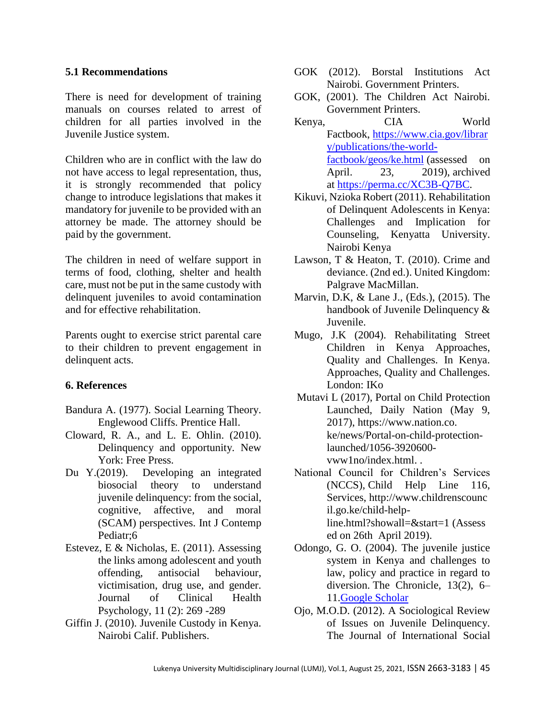#### **5.1 Recommendations**

There is need for development of training manuals on courses related to arrest of children for all parties involved in the Juvenile Justice system.

Children who are in conflict with the law do not have access to legal representation, thus, it is strongly recommended that policy change to introduce legislations that makes it mandatory for juvenile to be provided with an attorney be made. The attorney should be paid by the government.

The children in need of welfare support in terms of food, clothing, shelter and health care, must not be put in the same custody with delinquent juveniles to avoid contamination and for effective rehabilitation.

Parents ought to exercise strict parental care to their children to prevent engagement in delinquent acts.

### **6. References**

- Bandura A. (1977). Social Learning Theory. Englewood Cliffs. Prentice Hall.
- Cloward, R. A., and L. E. Ohlin. (2010). Delinquency and opportunity. New York: Free Press.
- Du Y.(2019). Developing an integrated biosocial theory to understand juvenile delinquency: from the social, cognitive, affective, and moral (SCAM) perspectives. Int J Contemp Pediatr;6
- Estevez, E & Nicholas, E. (2011). Assessing the links among adolescent and youth offending, antisocial behaviour, victimisation, drug use, and gender. Journal of Clinical Health Psychology, 11 (2): 269 -289
- Giffin J. (2010). Juvenile Custody in Kenya. Nairobi Calif. Publishers.
- GOK (2012). Borstal Institutions Act Nairobi. Government Printers.
- GOK, (2001). The Children Act Nairobi. Government Printers.
- Kenya, CIA World Factbook, [https://www.cia.gov/librar](https://www.cia.gov/library/publications/the-world-factbook/geos/ke.html) [y/publications/the-world](https://www.cia.gov/library/publications/the-world-factbook/geos/ke.html)[factbook/geos/ke.html](https://www.cia.gov/library/publications/the-world-factbook/geos/ke.html) (assessed on April. 23, 2019), archived at [https://perma.cc/XC3B-Q7BC.](https://perma.cc/XC3B-Q7BC)
- Kikuvi, Nzioka Robert (2011). Rehabilitation of Delinquent Adolescents in Kenya: Challenges and Implication for Counseling, Kenyatta University. Nairobi Kenya
- Lawson, T & Heaton, T. (2010). Crime and deviance. (2nd ed.). United Kingdom: Palgrave MacMillan.
- Marvin, D.K, & Lane J., (Eds.), (2015). The handbook of Juvenile Delinquency & Juvenile.
- Mugo, J.K (2004). Rehabilitating Street Children in Kenya Approaches, Quality and Challenges. In Kenya. Approaches, Quality and Challenges. London: IKo
- Mutavi L (2017), Portal on Child Protection Launched, Daily Nation (May 9, 2017), https://www.nation.co. ke/news/Portal-on-child-protectionlaunched/1056-3920600 vww1no/index.html. .
- National Council for Children's Services (NCCS), Child Help Line 116, Services, http://www.childrenscounc il.go.ke/child-helpline.html?showall=&start=1 (Assess ed on 26th April 2019).
- Odongo, G. O. (2004). The juvenile justice system in Kenya and challenges to law, policy and practice in regard to diversion. The Chronicle, 13(2), 6– 11[.Google Scholar](http://scholar.google.com/scholar_lookup?title=The%20juvenile%20justice%20system%20in%20Kenya%20and%20challenges%20to%20law%2C%20policy%20and%20practice%20in%20regard%20to%20diversion&author=GO.%20Odongo&journal=The%20Chronicle&volume=13&issue=2&pages=6-11&publication_year=2004)
- Ojo, M.O.D. (2012). A Sociological Review of Issues on Juvenile Delinquency. The Journal of International Social